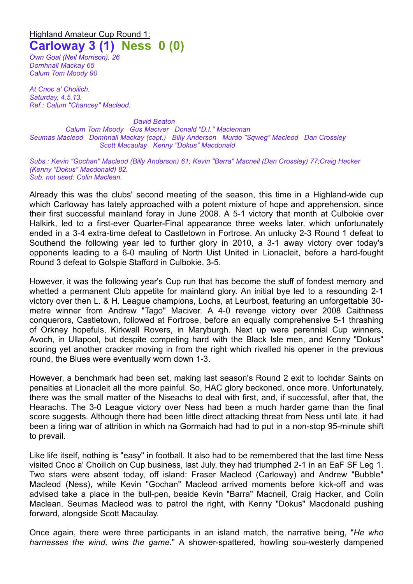## Highland Amateur Cup Round 1: **Carloway 3 (1) Ness 0 (0)**

*Own Goal (Neil Morrison). 26 Domhnall Mackay 65 Calum Tom Moody 90*

*At Cnoc a' Choilich. Saturday, 4.5.13. Ref.: Calum "Chancey" Macleod.*

*David Beaton Calum Tom Moody Gus Maciver Donald "D.I." Maclennan Seumas Macleod Domhnall Mackay (capt.) Billy Anderson Murdo "Sqweg" Macleod Dan Crossley Scott Macaulay Kenny "Dokus" Macdonald* 

*Subs.: Kevin "Gochan" Macleod (Billy Anderson) 61; Kevin "Barra" Macneil (Dan Crossley) 77;Craig Hacker (Kenny "Dokus" Macdonald) 82. Sub. not used: Colin Maclean.*

Already this was the clubs' second meeting of the season, this time in a Highland-wide cup which Carloway has lately approached with a potent mixture of hope and apprehension, since their first successful mainland foray in June 2008. A 5-1 victory that month at Culbokie over Halkirk, led to a first-ever Quarter-Final appearance three weeks later, which unfortunately ended in a 3-4 extra-time defeat to Castletown in Fortrose. An unlucky 2-3 Round 1 defeat to Southend the following year led to further glory in 2010, a 3-1 away victory over today's opponents leading to a 6-0 mauling of North Uist United in Lionacleit, before a hard-fought Round 3 defeat to Golspie Stafford in Culbokie, 3-5.

However, it was the following year's Cup run that has become the stuff of fondest memory and whetted a permanent Club appetite for mainland glory. An initial bye led to a resounding 2-1 victory over then L. & H. League champions, Lochs, at Leurbost, featuring an unforgettable 30 metre winner from Andrew "Tago" Maciver. A 4-0 revenge victory over 2008 Caithness conquerors, Castletown, followed at Fortrose, before an equally comprehensive 5-1 thrashing of Orkney hopefuls, Kirkwall Rovers, in Maryburgh. Next up were perennial Cup winners, Avoch, in Ullapool, but despite competing hard with the Black Isle men, and Kenny "Dokus" scoring yet another cracker moving in from the right which rivalled his opener in the previous round, the Blues were eventually worn down 1-3.

However, a benchmark had been set, making last season's Round 2 exit to Iochdar Saints on penalties at Lionacleit all the more painful. So, HAC glory beckoned, once more. Unfortunately, there was the small matter of the Niseachs to deal with first, and, if successful, after that, the Hearachs. The 3-0 League victory over Ness had been a much harder game than the final score suggests. Although there had been little direct attacking threat from Ness until late, it had been a tiring war of attrition in which na Gormaich had had to put in a non-stop 95-minute shift to prevail.

Like life itself, nothing is "easy" in football. It also had to be remembered that the last time Ness visited Cnoc a' Choilich on Cup business, last July, they had triumphed 2-1 in an EaF SF Leg 1. Two stars were absent today, off island: Fraser Macleod (Carloway) and Andrew "Bubble" Macleod (Ness), while Kevin "Gochan" Macleod arrived moments before kick-off and was advised take a place in the bull-pen, beside Kevin "Barra" Macneil, Craig Hacker, and Colin Maclean. Seumas Macleod was to patrol the right, with Kenny "Dokus" Macdonald pushing forward, alongside Scott Macaulay.

Once again, there were three participants in an island match, the narrative being, "*He who harnesses the wind, wins the game*." A shower-spattered, howling sou-westerly dampened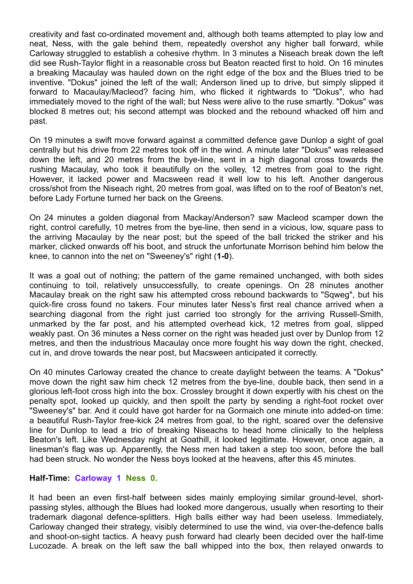creativity and fast co-ordinated movement and, although both teams attempted to play low and neat, Ness, with the gale behind them, repeatedly overshot any higher ball forward, while Carloway struggled to establish a cohesive rhythm. In 3 minutes a Niseach break down the left did see Rush-Taylor flight in a reasonable cross but Beaton reacted first to hold. On 16 minutes a breaking Macaulay was hauled down on the right edge of the box and the Blues tried to be inventive. "Dokus" joined the left of the wall; Anderson lined up to drive, but simply slipped it forward to Macaulay/Macleod? facing him, who flicked it rightwards to "Dokus", who had immediately moved to the right of the wall; but Ness were alive to the ruse smartly. "Dokus" was blocked 8 metres out; his second attempt was blocked and the rebound whacked off him and past.

On 19 minutes a swift move forward against a committed defence gave Dunlop a sight of goal centrally but his drive from 22 metres took off in the wind. A minute later "Dokus" was released down the left, and 20 metres from the bye-line, sent in a high diagonal cross towards the rushing Macaulay, who took it beautifully on the volley, 12 metres from goal to the right. However, it lacked power and Macsween read it well low to his left. Another dangerous cross/shot from the Niseach right, 20 metres from goal, was lifted on to the roof of Beaton's net, before Lady Fortune turned her back on the Greens.

On 24 minutes a golden diagonal from Mackay/Anderson? saw Macleod scamper down the right, control carefully, 10 metres from the bye-line, then send in a vicious, low, square pass to the arriving Macaulay by the near post; but the speed of the ball tricked the striker and his marker, clicked onwards off his boot, and struck the unfortunate Morrison behind him below the knee, to cannon into the net on "Sweeney's" right (**1-0**).

It was a goal out of nothing; the pattern of the game remained unchanged, with both sides continuing to toil, relatively unsuccessfully, to create openings. On 28 minutes another Macaulay break on the right saw his attempted cross rebound backwards to "Sqweg", but his quick-fire cross found no takers. Four minutes later Ness's first real chance arrived when a searching diagonal from the right just carried too strongly for the arriving Russell-Smith, unmarked by the far post, and his attempted overhead kick, 12 metres from goal, slipped weakly past. On 36 minutes a Ness corner on the right was headed just over by Dunlop from 12 metres, and then the industrious Macaulay once more fought his way down the right, checked, cut in, and drove towards the near post, but Macsween anticipated it correctly.

On 40 minutes Carloway created the chance to create daylight between the teams. A "Dokus" move down the right saw him check 12 metres from the bye-line, double back, then send in a glorious left-foot cross high into the box. Crossley brought it down expertly with his chest on the penalty spot, looked up quickly, and then spoilt the party by sending a right-foot rocket over "Sweeney's" bar. And it could have got harder for na Gormaich one minute into added-on time: a beautiful Rush-Taylor free-kick 24 metres from goal, to the right, soared over the defensive line for Dunlop to lead a trio of breaking Niseachs to head home clinically to the helpless Beaton's left. Like Wednesday night at Goathill, it looked legitimate. However, once again, a linesman's flag was up. Apparently, the Ness men had taken a step too soon, before the ball had been struck. No wonder the Ness boys looked at the heavens, after this 45 minutes.

## **Half-Time: Carloway 1 Ness 0.**

It had been an even first-half between sides mainly employing similar ground-level, shortpassing styles, although the Blues had looked more dangerous, usually when resorting to their trademark diagonal defence-splitters. High balls either way had been useless. Immediately, Carloway changed their strategy, visibly determined to use the wind, via over-the-defence balls and shoot-on-sight tactics. A heavy push forward had clearly been decided over the half-time Lucozade. A break on the left saw the ball whipped into the box, then relayed onwards to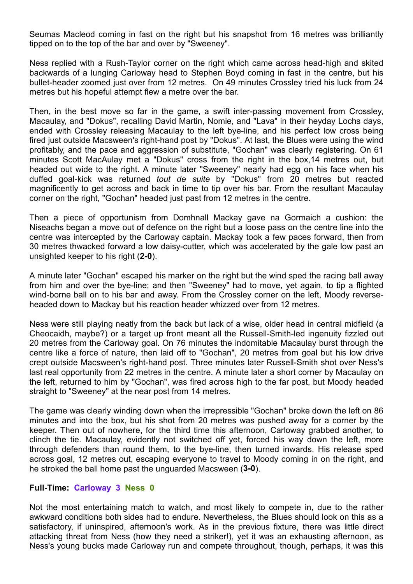Seumas Macleod coming in fast on the right but his snapshot from 16 metres was brilliantly tipped on to the top of the bar and over by "Sweeney".

Ness replied with a Rush-Taylor corner on the right which came across head-high and skited backwards of a lunging Carloway head to Stephen Boyd coming in fast in the centre, but his bullet-header zoomed just over from 12 metres. On 49 minutes Crossley tried his luck from 24 metres but his hopeful attempt flew a metre over the bar.

Then, in the best move so far in the game, a swift inter-passing movement from Crossley, Macaulay, and "Dokus", recalling David Martin, Nomie, and "Lava" in their heyday Lochs days, ended with Crossley releasing Macaulay to the left bye-line, and his perfect low cross being fired just outside Macsween's right-hand post by "Dokus". At last, the Blues were using the wind profitably, and the pace and aggression of substitute, "Gochan" was clearly registering. On 61 minutes Scott MacAulay met a "Dokus" cross from the right in the box,14 metres out, but headed out wide to the right. A minute later "Sweeney" nearly had egg on his face when his duffed goal-kick was returned *tout de suite* by "Dokus" from 20 metres but reacted magnificently to get across and back in time to tip over his bar. From the resultant Macaulay corner on the right, "Gochan" headed just past from 12 metres in the centre.

Then a piece of opportunism from Domhnall Mackay gave na Gormaich a cushion: the Niseachs began a move out of defence on the right but a loose pass on the centre line into the centre was intercepted by the Carloway captain. Mackay took a few paces forward, then from 30 metres thwacked forward a low daisy-cutter, which was accelerated by the gale low past an unsighted keeper to his right (**2-0**).

A minute later "Gochan" escaped his marker on the right but the wind sped the racing ball away from him and over the bye-line; and then "Sweeney" had to move, yet again, to tip a flighted wind-borne ball on to his bar and away. From the Crossley corner on the left, Moody reverseheaded down to Mackay but his reaction header whizzed over from 12 metres.

Ness were still playing neatly from the back but lack of a wise, older head in central midfield (a Cheocaidh, maybe?) or a target up front meant all the Russell-Smith-led ingenuity fizzled out 20 metres from the Carloway goal. On 76 minutes the indomitable Macaulay burst through the centre like a force of nature, then laid off to "Gochan", 20 metres from goal but his low drive crept outside Macsween's right-hand post. Three minutes later Russell-Smith shot over Ness's last real opportunity from 22 metres in the centre. A minute later a short corner by Macaulay on the left, returned to him by "Gochan", was fired across high to the far post, but Moody headed straight to "Sweeney" at the near post from 14 metres.

The game was clearly winding down when the irrepressible "Gochan" broke down the left on 86 minutes and into the box, but his shot from 20 metres was pushed away for a corner by the keeper. Then out of nowhere, for the third time this afternoon, Carloway grabbed another, to clinch the tie. Macaulay, evidently not switched off yet, forced his way down the left, more through defenders than round them, to the bye-line, then turned inwards. His release sped across goal, 12 metres out, escaping everyone to travel to Moody coming in on the right, and he stroked the ball home past the unguarded Macsween (**3-0**).

## **Full-Time: Carloway 3 Ness 0**

Not the most entertaining match to watch, and most likely to compete in, due to the rather awkward conditions both sides had to endure. Nevertheless, the Blues should look on this as a satisfactory, if uninspired, afternoon's work. As in the previous fixture, there was little direct attacking threat from Ness (how they need a striker!), yet it was an exhausting afternoon, as Ness's young bucks made Carloway run and compete throughout, though, perhaps, it was this